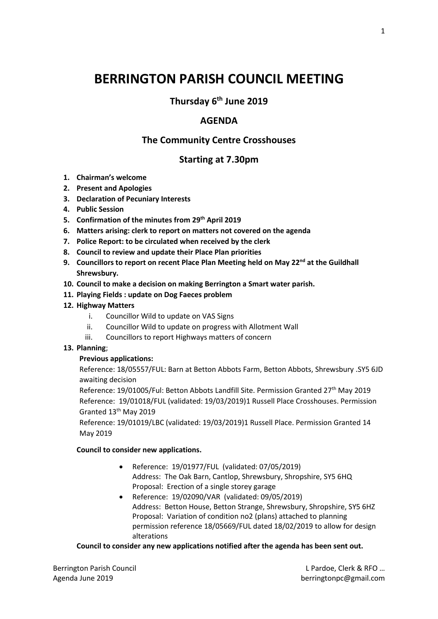# **BERRINGTON PARISH COUNCIL MEETING**

**Thursday 6th June 2019**

### **AGENDA**

# **The Community Centre Crosshouses**

## **Starting at 7.30pm**

- **1. Chairman's welcome**
- **2. Present and Apologies**
- **3. Declaration of Pecuniary Interests**
- **4. Public Session**
- **5. Confirmation of the minutes from 29th April 2019**
- **6. Matters arising: clerk to report on matters not covered on the agenda**
- **7. Police Report: to be circulated when received by the clerk**
- **8. Council to review and update their Place Plan priorities**
- **9. Councillors to report on recent Place Plan Meeting held on May 22nd at the Guildhall Shrewsbury.**
- **10. Council to make a decision on making Berrington a Smart water parish.**
- **11. Playing Fields : update on Dog Faeces problem**

#### **12. Highway Matters**

- i. Councillor Wild to update on VAS Signs
- ii. Councillor Wild to update on progress with Allotment Wall
- iii. Councillors to report Highways matters of concern

#### **13. Planning**;

#### **Previous applications:**

Reference: 18/05557/FUL: Barn at Betton Abbots Farm, Betton Abbots, Shrewsbury .SY5 6JD awaiting decision

Reference: 19/01005/Ful: Betton Abbots Landfill Site. Permission Granted 27th May 2019 Reference: 19/01018/FUL (validated: 19/03/2019)1 Russell Place Crosshouses. Permission Granted 13th May 2019

Reference: 19/01019/LBC (validated: 19/03/2019)1 Russell Place. Permission Granted 14 May 2019

#### **Council to consider new applications.**

- Reference: 19/01977/FUL (validated: 07/05/2019) Address: The Oak Barn, Cantlop, Shrewsbury, Shropshire, SY5 6HQ Proposal: Erection of a single storey garage
- Reference: 19/02090/VAR (validated: 09/05/2019) Address: Betton House, Betton Strange, Shrewsbury, Shropshire, SY5 6HZ Proposal: Variation of condition no2 (plans) attached to planning permission reference 18/05669/FUL dated 18/02/2019 to allow for design alterations

#### **Council to consider any new applications notified after the agenda has been sent out.**